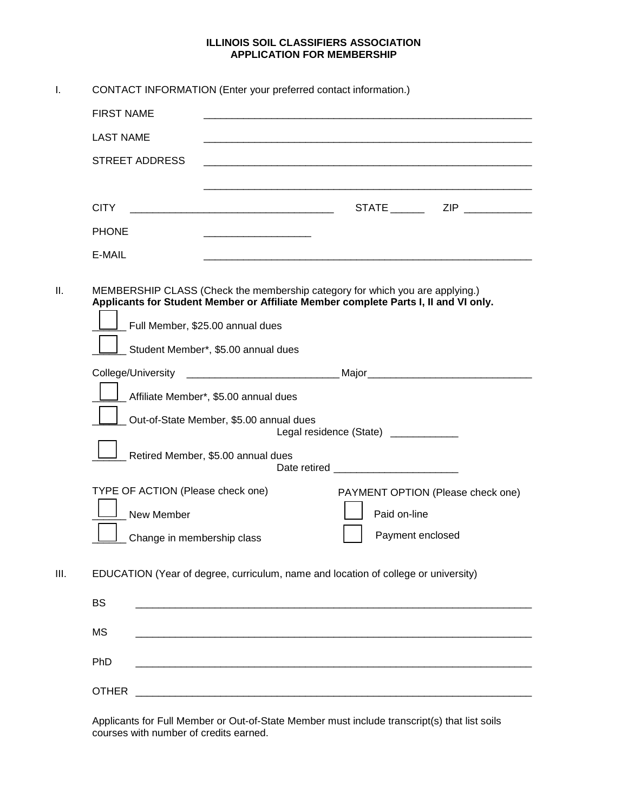## **ILLINOIS SOIL CLASSIFIERS ASSOCIATION APPLICATION FOR MEMBERSHIP**

| I.   | CONTACT INFORMATION (Enter your preferred contact information.)                                                                                                                                                                                |                                                                                                                         |  |                  |                                   |  |  |  |  |
|------|------------------------------------------------------------------------------------------------------------------------------------------------------------------------------------------------------------------------------------------------|-------------------------------------------------------------------------------------------------------------------------|--|------------------|-----------------------------------|--|--|--|--|
|      | <b>FIRST NAME</b>                                                                                                                                                                                                                              | <u> 1980 - Jan James James James James James James James James James James James James James James James James J</u>    |  |                  |                                   |  |  |  |  |
|      | <b>LAST NAME</b>                                                                                                                                                                                                                               |                                                                                                                         |  |                  |                                   |  |  |  |  |
|      | <b>STREET ADDRESS</b>                                                                                                                                                                                                                          |                                                                                                                         |  |                  |                                   |  |  |  |  |
|      |                                                                                                                                                                                                                                                |                                                                                                                         |  |                  |                                   |  |  |  |  |
|      | <b>CITY</b>                                                                                                                                                                                                                                    |                                                                                                                         |  |                  |                                   |  |  |  |  |
|      | <b>PHONE</b>                                                                                                                                                                                                                                   |                                                                                                                         |  |                  |                                   |  |  |  |  |
|      | E-MAIL                                                                                                                                                                                                                                         | <u> 1989 - Johann Barbara, margaret eta idazlea (h. 1989).</u>                                                          |  |                  |                                   |  |  |  |  |
| Ш.   | MEMBERSHIP CLASS (Check the membership category for which you are applying.)<br>Applicants for Student Member or Affiliate Member complete Parts I, II and VI only.<br>Full Member, \$25.00 annual dues<br>Student Member*, \$5.00 annual dues |                                                                                                                         |  |                  |                                   |  |  |  |  |
|      |                                                                                                                                                                                                                                                |                                                                                                                         |  |                  |                                   |  |  |  |  |
|      |                                                                                                                                                                                                                                                | Affiliate Member*, \$5.00 annual dues                                                                                   |  |                  |                                   |  |  |  |  |
|      |                                                                                                                                                                                                                                                | Out-of-State Member, \$5.00 annual dues<br>Legal residence (State) ____________                                         |  |                  |                                   |  |  |  |  |
|      | Retired Member, \$5.00 annual dues                                                                                                                                                                                                             |                                                                                                                         |  |                  |                                   |  |  |  |  |
|      | TYPE OF ACTION (Please check one)                                                                                                                                                                                                              |                                                                                                                         |  |                  |                                   |  |  |  |  |
|      | New Member                                                                                                                                                                                                                                     |                                                                                                                         |  | Paid on-line     | PAYMENT OPTION (Please check one) |  |  |  |  |
|      | L_ Change in membership class                                                                                                                                                                                                                  |                                                                                                                         |  | Payment enclosed |                                   |  |  |  |  |
| III. | EDUCATION (Year of degree, curriculum, name and location of college or university)                                                                                                                                                             |                                                                                                                         |  |                  |                                   |  |  |  |  |
|      | <b>BS</b>                                                                                                                                                                                                                                      |                                                                                                                         |  |                  |                                   |  |  |  |  |
|      | <b>MS</b>                                                                                                                                                                                                                                      |                                                                                                                         |  |                  |                                   |  |  |  |  |
|      | PhD                                                                                                                                                                                                                                            |                                                                                                                         |  |                  |                                   |  |  |  |  |
|      | <b>OTHER</b>                                                                                                                                                                                                                                   | <u> 1980 - Jan Barat, prima matematika a matematika a matematika a matematika a matematika a matematika a matematik</u> |  |                  |                                   |  |  |  |  |

Applicants for Full Member or Out-of-State Member must include transcript(s) that list soils courses with number of credits earned.